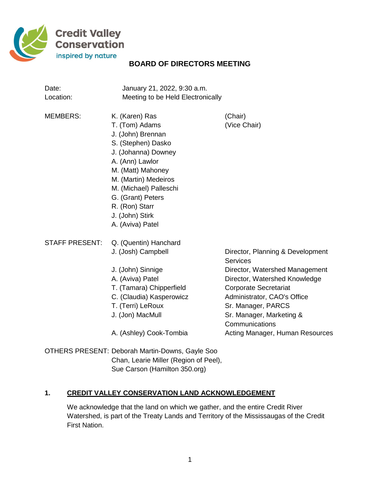

# **BOARD OF DIRECTORS MEETING**

| Date:<br>Location:    | January 21, 2022, 9:30 a.m.<br>Meeting to be Held Electronically                                                                                                                                                                                                           |                                                                                                                                                                                                                                                                                              |
|-----------------------|----------------------------------------------------------------------------------------------------------------------------------------------------------------------------------------------------------------------------------------------------------------------------|----------------------------------------------------------------------------------------------------------------------------------------------------------------------------------------------------------------------------------------------------------------------------------------------|
| <b>MEMBERS:</b>       | K. (Karen) Ras<br>T. (Tom) Adams<br>J. (John) Brennan<br>S. (Stephen) Dasko<br>J. (Johanna) Downey<br>A. (Ann) Lawlor<br>M. (Matt) Mahoney<br>M. (Martin) Medeiros<br>M. (Michael) Palleschi<br>G. (Grant) Peters<br>R. (Ron) Starr<br>J. (John) Stirk<br>A. (Aviva) Patel | (Chair)<br>(Vice Chair)                                                                                                                                                                                                                                                                      |
| <b>STAFF PRESENT:</b> | Q. (Quentin) Hanchard<br>J. (Josh) Campbell<br>J. (John) Sinnige<br>A. (Aviva) Patel<br>T. (Tamara) Chipperfield<br>C. (Claudia) Kasperowicz<br>T. (Terri) LeRoux<br>J. (Jon) MacMull<br>A. (Ashley) Cook-Tombia                                                           | Director, Planning & Development<br><b>Services</b><br>Director, Watershed Management<br>Director, Watershed Knowledge<br><b>Corporate Secretariat</b><br>Administrator, CAO's Office<br>Sr. Manager, PARCS<br>Sr. Manager, Marketing &<br>Communications<br>Acting Manager, Human Resources |

OTHERS PRESENT: Deborah Martin-Downs, Gayle Soo Chan, Learie Miller (Region of Peel), Sue Carson (Hamilton 350.org)

# **1. CREDIT VALLEY CONSERVATION LAND ACKNOWLEDGEMENT**

We acknowledge that the land on which we gather, and the entire Credit River Watershed, is part of the Treaty Lands and Territory of the Mississaugas of the Credit First Nation.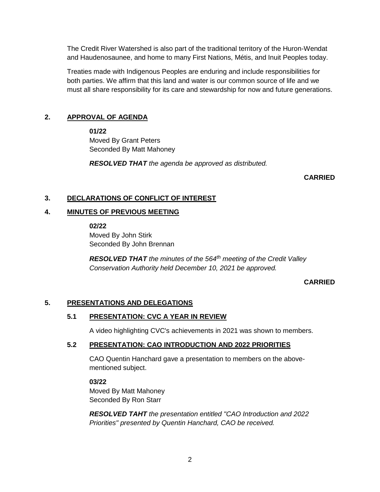The Credit River Watershed is also part of the traditional territory of the Huron-Wendat and Haudenosaunee, and home to many First Nations, Métis, and Inuit Peoples today.

Treaties made with Indigenous Peoples are enduring and include responsibilities for both parties. We affirm that this land and water is our common source of life and we must all share responsibility for its care and stewardship for now and future generations.

# **2. APPROVAL OF AGENDA**

**01/22**

Moved By Grant Peters Seconded By Matt Mahoney

*RESOLVED THAT the agenda be approved as distributed.*

**CARRIED**

## **3. DECLARATIONS OF CONFLICT OF INTEREST**

## **4. MINUTES OF PREVIOUS MEETING**

**02/22**

Moved By John Stirk Seconded By John Brennan

*RESOLVED THAT the minutes of the 564th meeting of the Credit Valley Conservation Authority held December 10, 2021 be approved.*

**CARRIED**

## **5. PRESENTATIONS AND DELEGATIONS**

## **5.1 PRESENTATION: CVC A YEAR IN REVIEW**

A video highlighting CVC's achievements in 2021 was shown to members.

## **5.2 PRESENTATION: CAO INTRODUCTION AND 2022 PRIORITIES**

CAO Quentin Hanchard gave a presentation to members on the abovementioned subject.

**03/22** Moved By Matt Mahoney Seconded By Ron Starr

*RESOLVED TAHT the presentation entitled "CAO Introduction and 2022 Priorities" presented by Quentin Hanchard, CAO be received.*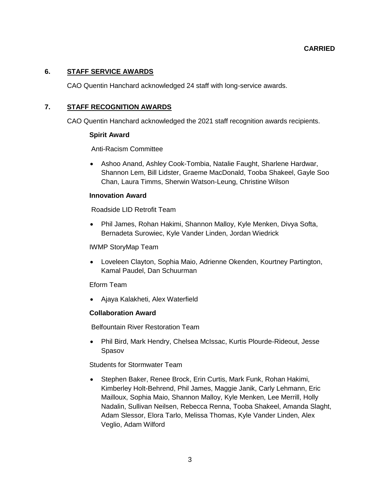### **6. STAFF SERVICE AWARDS**

CAO Quentin Hanchard acknowledged 24 staff with long-service awards.

### **7. STAFF RECOGNITION AWARDS**

CAO Quentin Hanchard acknowledged the 2021 staff recognition awards recipients.

#### **Spirit Award**

Anti-Racism Committee

 Ashoo Anand, Ashley Cook-Tombia, Natalie Faught, Sharlene Hardwar, Shannon Lem, Bill Lidster, Graeme MacDonald, Tooba Shakeel, Gayle Soo Chan, Laura Timms, Sherwin Watson-Leung, Christine Wilson

#### **Innovation Award**

Roadside LID Retrofit Team

 Phil James, Rohan Hakimi, Shannon Malloy, Kyle Menken, Divya Softa, Bernadeta Surowiec, Kyle Vander Linden, Jordan Wiedrick

#### IWMP StoryMap Team

 Loveleen Clayton, Sophia Maio, Adrienne Okenden, Kourtney Partington, Kamal Paudel, Dan Schuurman

### Eform Team

Ajaya Kalakheti, Alex Waterfield

### **Collaboration Award**

Belfountain River Restoration Team

 Phil Bird, Mark Hendry, Chelsea McIssac, Kurtis Plourde-Rideout, Jesse Spasov

Students for Stormwater Team

 Stephen Baker, Renee Brock, Erin Curtis, Mark Funk, Rohan Hakimi, Kimberley Holt-Behrend, Phil James, Maggie Janik, Carly Lehmann, Eric Mailloux, Sophia Maio, Shannon Malloy, Kyle Menken, Lee Merrill, Holly Nadalin, Sullivan Neilsen, Rebecca Renna, Tooba Shakeel, Amanda Slaght, Adam Slessor, Elora Tarlo, Melissa Thomas, Kyle Vander Linden, Alex Veglio, Adam Wilford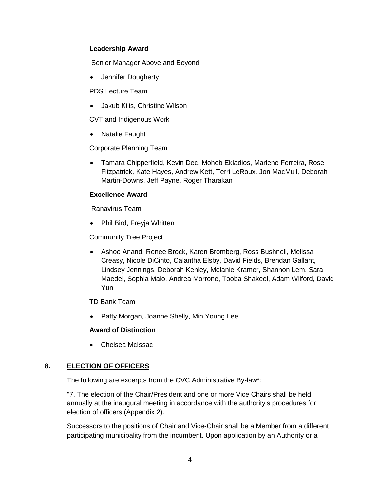### **Leadership Award**

Senior Manager Above and Beyond

Jennifer Dougherty

PDS Lecture Team

Jakub Kilis, Christine Wilson

CVT and Indigenous Work

• Natalie Faught

Corporate Planning Team

 Tamara Chipperfield, Kevin Dec, Moheb Ekladios, Marlene Ferreira, Rose Fitzpatrick, Kate Hayes, Andrew Kett, Terri LeRoux, Jon MacMull, Deborah Martin-Downs, Jeff Payne, Roger Tharakan

## **Excellence Award**

Ranavirus Team

• Phil Bird, Freyja Whitten

Community Tree Project

 Ashoo Anand, Renee Brock, Karen Bromberg, Ross Bushnell, Melissa Creasy, Nicole DiCinto, Calantha Elsby, David Fields, Brendan Gallant, Lindsey Jennings, Deborah Kenley, Melanie Kramer, Shannon Lem, Sara Maedel, Sophia Maio, Andrea Morrone, Tooba Shakeel, Adam Wilford, David Yun

TD Bank Team

• Patty Morgan, Joanne Shelly, Min Young Lee

### **Award of Distinction**

Chelsea McIssac

## **8. ELECTION OF OFFICERS**

The following are excerpts from the CVC Administrative By-law\*:

"7. The election of the Chair/President and one or more Vice Chairs shall be held annually at the inaugural meeting in accordance with the authority's procedures for election of officers (Appendix 2).

Successors to the positions of Chair and Vice-Chair shall be a Member from a different participating municipality from the incumbent. Upon application by an Authority or a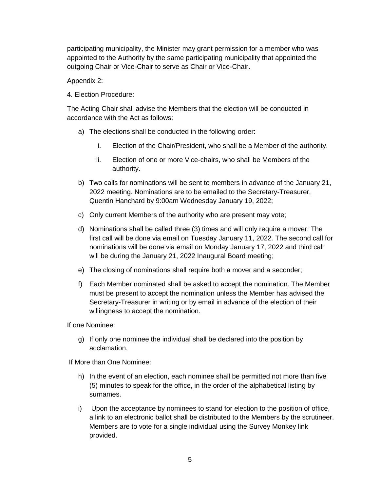participating municipality, the Minister may grant permission for a member who was appointed to the Authority by the same participating municipality that appointed the outgoing Chair or Vice-Chair to serve as Chair or Vice-Chair.

Appendix 2:

4. Election Procedure:

The Acting Chair shall advise the Members that the election will be conducted in accordance with the Act as follows:

- a) The elections shall be conducted in the following order:
	- i. Election of the Chair/President, who shall be a Member of the authority.
	- ii. Election of one or more Vice-chairs, who shall be Members of the authority.
- b) Two calls for nominations will be sent to members in advance of the January 21, 2022 meeting. Nominations are to be emailed to the Secretary-Treasurer, Quentin Hanchard by 9:00am Wednesday January 19, 2022;
- c) Only current Members of the authority who are present may vote;
- d) Nominations shall be called three (3) times and will only require a mover. The first call will be done via email on Tuesday January 11, 2022. The second call for nominations will be done via email on Monday January 17, 2022 and third call will be during the January 21, 2022 Inaugural Board meeting;
- e) The closing of nominations shall require both a mover and a seconder;
- f) Each Member nominated shall be asked to accept the nomination. The Member must be present to accept the nomination unless the Member has advised the Secretary-Treasurer in writing or by email in advance of the election of their willingness to accept the nomination.

If one Nominee:

g) If only one nominee the individual shall be declared into the position by acclamation.

If More than One Nominee:

- h) In the event of an election, each nominee shall be permitted not more than five (5) minutes to speak for the office, in the order of the alphabetical listing by surnames.
- i) Upon the acceptance by nominees to stand for election to the position of office, a link to an electronic ballot shall be distributed to the Members by the scrutineer. Members are to vote for a single individual using the Survey Monkey link provided.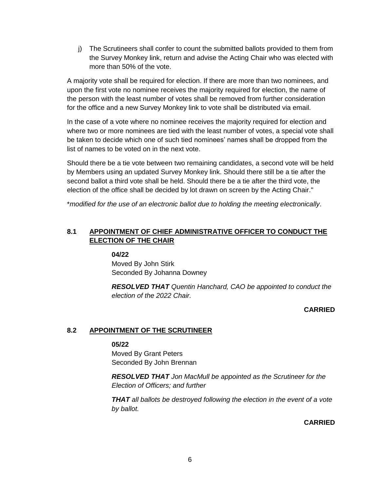j) The Scrutineers shall confer to count the submitted ballots provided to them from the Survey Monkey link, return and advise the Acting Chair who was elected with more than 50% of the vote.

A majority vote shall be required for election. If there are more than two nominees, and upon the first vote no nominee receives the majority required for election, the name of the person with the least number of votes shall be removed from further consideration for the office and a new Survey Monkey link to vote shall be distributed via email.

In the case of a vote where no nominee receives the majority required for election and where two or more nominees are tied with the least number of votes, a special vote shall be taken to decide which one of such tied nominees' names shall be dropped from the list of names to be voted on in the next vote.

Should there be a tie vote between two remaining candidates, a second vote will be held by Members using an updated Survey Monkey link. Should there still be a tie after the second ballot a third vote shall be held. Should there be a tie after the third vote, the election of the office shall be decided by lot drawn on screen by the Acting Chair."

\**modified for the use of an electronic ballot due to holding the meeting electronically*.

# **8.1 APPOINTMENT OF CHIEF ADMINISTRATIVE OFFICER TO CONDUCT THE ELECTION OF THE CHAIR**

**04/22** Moved By John Stirk Seconded By Johanna Downey

*RESOLVED THAT Quentin Hanchard, CAO be appointed to conduct the election of the 2022 Chair.*

**CARRIED**

## **8.2 APPOINTMENT OF THE SCRUTINEER**

### **05/22**

Moved By Grant Peters Seconded By John Brennan

*RESOLVED THAT Jon MacMull be appointed as the Scrutineer for the Election of Officers; and further*

*THAT all ballots be destroyed following the election in the event of a vote by ballot.*

**CARRIED**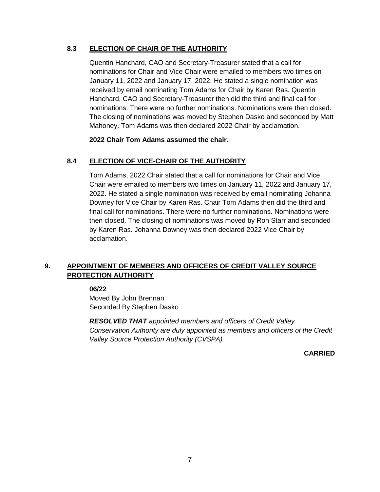## **8.3 ELECTION OF CHAIR OF THE AUTHORITY**

Quentin Hanchard, CAO and Secretary-Treasurer stated that a call for nominations for Chair and Vice Chair were emailed to members two times on January 11, 2022 and January 17, 2022. He stated a single nomination was received by email nominating Tom Adams for Chair by Karen Ras. Quentin Hanchard, CAO and Secretary-Treasurer then did the third and final call for nominations. There were no further nominations. Nominations were then closed. The closing of nominations was moved by Stephen Dasko and seconded by Matt Mahoney. Tom Adams was then declared 2022 Chair by acclamation.

### **2022 Chair Tom Adams assumed the chair**.

## **8.4 ELECTION OF VICE-CHAIR OF THE AUTHORITY**

Tom Adams, 2022 Chair stated that a call for nominations for Chair and Vice Chair were emailed to members two times on January 11, 2022 and January 17, 2022. He stated a single nomination was received by email nominating Johanna Downey for Vice Chair by Karen Ras. Chair Tom Adams then did the third and final call for nominations. There were no further nominations. Nominations were then closed. The closing of nominations was moved by Ron Starr and seconded by Karen Ras. Johanna Downey was then declared 2022 Vice Chair by acclamation.

## **9. APPOINTMENT OF MEMBERS AND OFFICERS OF CREDIT VALLEY SOURCE PROTECTION AUTHORITY**

**06/22**

Moved By John Brennan Seconded By Stephen Dasko

*RESOLVED THAT appointed members and officers of Credit Valley Conservation Authority are duly appointed as members and officers of the Credit Valley Source Protection Authority (CVSPA).*

**CARRIED**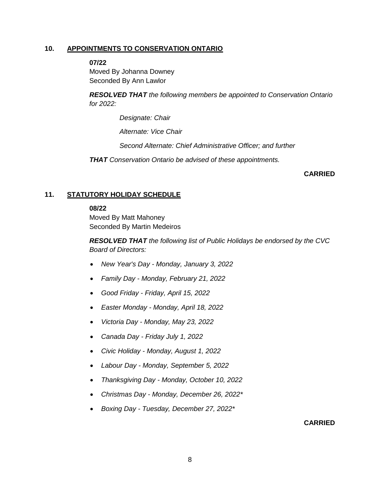#### **10. APPOINTMENTS TO CONSERVATION ONTARIO**

**07/22**

Moved By Johanna Downey Seconded By Ann Lawlor

*RESOLVED THAT the following members be appointed to Conservation Ontario for 2022:*

*Designate: Chair*

*Alternate: Vice Chair*

*Second Alternate: Chief Administrative Officer; and further*

*THAT Conservation Ontario be advised of these appointments.*

#### **CARRIED**

#### **11. STATUTORY HOLIDAY SCHEDULE**

#### **08/22**

Moved By Matt Mahoney Seconded By Martin Medeiros

*RESOLVED THAT the following list of Public Holidays be endorsed by the CVC Board of Directors:*

- *New Year's Day - Monday, January 3, 2022*
- *Family Day - Monday, February 21, 2022*
- *Good Friday - Friday, April 15, 2022*
- *Easter Monday - Monday, April 18, 2022*
- *Victoria Day - Monday, May 23, 2022*
- *Canada Day - Friday July 1, 2022*
- *Civic Holiday - Monday, August 1, 2022*
- *Labour Day - Monday, September 5, 2022*
- *Thanksgiving Day - Monday, October 10, 2022*
- *Christmas Day - Monday, December 26, 2022\**
- *Boxing Day - Tuesday, December 27, 2022\**

#### **CARRIED**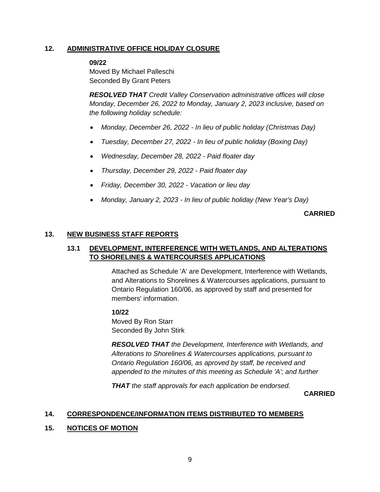## **12. ADMINISTRATIVE OFFICE HOLIDAY CLOSURE**

#### **09/22**

Moved By Michael Palleschi Seconded By Grant Peters

*RESOLVED THAT Credit Valley Conservation administrative offices will close Monday, December 26, 2022 to Monday, January 2, 2023 inclusive, based on the following holiday schedule:*

- *Monday, December 26, 2022 - In lieu of public holiday (Christmas Day)*
- *Tuesday, December 27, 2022 - In lieu of public holiday (Boxing Day)*
- *Wednesday, December 28, 2022 - Paid floater day*
- *Thursday, December 29, 2022 - Paid floater day*
- *Friday, December 30, 2022 - Vacation or lieu day*
- *Monday, January 2, 2023 - In lieu of public holiday (New Year's Day)*

#### **CARRIED**

#### **13. NEW BUSINESS STAFF REPORTS**

### **13.1 DEVELOPMENT, INTERFERENCE WITH WETLANDS, AND ALTERATIONS TO SHORELINES & WATERCOURSES APPLICATIONS**

Attached as Schedule 'A' are Development, Interference with Wetlands, and Alterations to Shorelines & Watercourses applications, pursuant to Ontario Regulation 160/06, as approved by staff and presented for members' information.

#### **10/22**

Moved By Ron Starr Seconded By John Stirk

*RESOLVED THAT the Development, Interference with Wetlands, and Alterations to Shorelines & Watercourses applications, pursuant to Ontario Regulation 160/06, as aproved by staff, be received and appended to the minutes of this meeting as Schedule 'A'; and further*

*THAT the staff approvals for each application be endorsed.*

**CARRIED**

### **14. CORRESPONDENCE/INFORMATION ITEMS DISTRIBUTED TO MEMBERS**

### **15. NOTICES OF MOTION**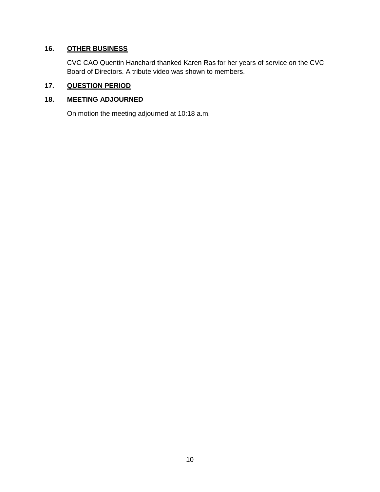# **16. OTHER BUSINESS**

CVC CAO Quentin Hanchard thanked Karen Ras for her years of service on the CVC Board of Directors. A tribute video was shown to members.

# **17. QUESTION PERIOD**

## **18. MEETING ADJOURNED**

On motion the meeting adjourned at 10:18 a.m.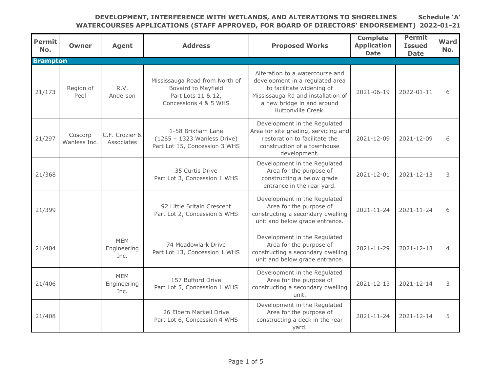| <b>Permit</b><br>No. | <b>Owner</b>            | <b>Agent</b>                      | <b>Address</b>                                                                                       | <b>Proposed Works</b>                                                                                                                                                                     | <b>Complete</b><br><b>Application</b><br><b>Date</b> | <b>Permit</b><br><b>Issued</b><br><b>Date</b> | Ward<br>No.    |
|----------------------|-------------------------|-----------------------------------|------------------------------------------------------------------------------------------------------|-------------------------------------------------------------------------------------------------------------------------------------------------------------------------------------------|------------------------------------------------------|-----------------------------------------------|----------------|
| <b>Brampton</b>      |                         |                                   |                                                                                                      |                                                                                                                                                                                           |                                                      |                                               |                |
| 21/173               | Region of<br>Peel       | R.V.<br>Anderson                  | Mississauga Road from North of<br>Bovaird to Mayfield<br>Part Lots 11 & 12,<br>Concessions 4 & 5 WHS | Alteration to a watercourse and<br>development in a regulated area<br>to facilitate widening of<br>Mississauga Rd and installation of<br>a new bridge in and around<br>Huttonville Creek. | 2021-06-19                                           | 2022-01-11                                    | 6              |
| 21/297               | Coscorp<br>Wanless Inc. | C.F. Crozier &<br>Associates      | 1-58 Brixham Lane<br>(1265 - 1323 Wanless Drive)<br>Part Lot 15, Concession 3 WHS                    | Development in the Regulated<br>Area for site grading, servicing and<br>restoration to facilitate the<br>construction of a townhouse<br>development.                                      | 2021-12-09                                           | 2021-12-09                                    | 6              |
| 21/368               |                         |                                   | 35 Curtis Drive<br>Part Lot 3, Concession 1 WHS                                                      | Development in the Regulated<br>Area for the purpose of<br>constructing a below grade<br>entrance in the rear yard.                                                                       | 2021-12-01                                           | 2021-12-13                                    | 3              |
| 21/399               |                         |                                   | 92 Little Britain Crescent<br>Part Lot 2, Concession 5 WHS                                           | Development in the Regulated<br>Area for the purpose of<br>constructing a secondary dwelling<br>unit and below grade entrance.                                                            | 2021-11-24                                           | 2021-11-24                                    | 6              |
| 21/404               |                         | <b>MEM</b><br>Engineering<br>Inc. | 74 Meadowlark Drive<br>Part Lot 13, Concession 1 WHS                                                 | Development in the Regulated<br>Area for the purpose of<br>constructing a secondary dwelling<br>unit and below grade entrance.                                                            | $2021 - 11 - 29$                                     | 2021-12-13                                    | $\overline{4}$ |
| 21/406               |                         | <b>MEM</b><br>Engineering<br>Inc. | 157 Bufford Drive<br>Part Lot 5, Concession 1 WHS                                                    | Development in the Regulated<br>Area for the purpose of<br>constructing a secondary dwelling<br>unit.                                                                                     | 2021-12-13                                           | 2021-12-14                                    | 3              |
| 21/408               |                         |                                   | 26 Elbern Markell Drive<br>Part Lot 6, Concession 4 WHS                                              | Development in the Regulated<br>Area for the purpose of<br>constructing a deck in the rear<br>yard.                                                                                       | 2021-11-24                                           | 2021-12-14                                    | 5              |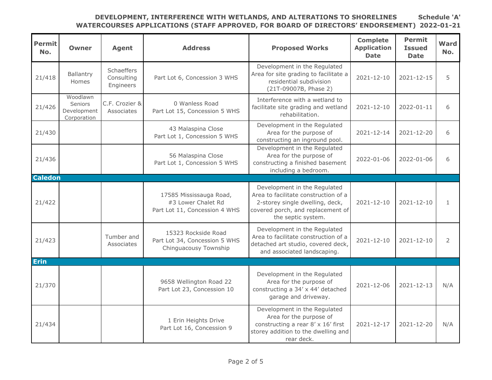| <b>Permit</b><br>No. | <b>Owner</b>                                      | <b>Agent</b>                          | <b>Address</b>                                                                 | <b>Proposed Works</b>                                                                                                                                              | <b>Complete</b><br><b>Application</b><br><b>Date</b> | <b>Permit</b><br><b>Issued</b><br><b>Date</b> | Ward<br>No.    |
|----------------------|---------------------------------------------------|---------------------------------------|--------------------------------------------------------------------------------|--------------------------------------------------------------------------------------------------------------------------------------------------------------------|------------------------------------------------------|-----------------------------------------------|----------------|
| 21/418               | Ballantry<br>Homes                                | Schaeffers<br>Consulting<br>Engineers | Part Lot 6, Concession 3 WHS                                                   | Development in the Regulated<br>Area for site grading to facilitate a<br>residential subdivision<br>(21T-09007B, Phase 2)                                          | 2021-12-10                                           | 2021-12-15                                    | 5              |
| 21/426               | Woodlawn<br>Seniors<br>Development<br>Corporation | C.F. Crozier &<br>Associates          | 0 Wanless Road<br>Part Lot 15, Concession 5 WHS                                | Interference with a wetland to<br>facilitate site grading and wetland<br>rehabilitation.                                                                           | 2021-12-10                                           | 2022-01-11                                    | 6              |
| 21/430               |                                                   |                                       | 43 Malaspina Close<br>Part Lot 1, Concession 5 WHS                             | Development in the Regulated<br>Area for the purpose of<br>constructing an inground pool.                                                                          | 2021-12-14                                           | 2021-12-20                                    | 6              |
| 21/436               |                                                   |                                       | 56 Malaspina Close<br>Part Lot 1, Concession 5 WHS                             | Development in the Regulated<br>Area for the purpose of<br>constructing a finished basement<br>including a bedroom.                                                | 2022-01-06                                           | 2022-01-06                                    | 6              |
| <b>Caledon</b>       |                                                   |                                       |                                                                                |                                                                                                                                                                    |                                                      |                                               |                |
| 21/422               |                                                   |                                       | 17585 Mississauga Road,<br>#3 Lower Chalet Rd<br>Part Lot 11, Concession 4 WHS | Development in the Regulated<br>Area to facilitate construction of a<br>2-storey single dwelling, deck,<br>covered porch, and replacement of<br>the septic system. | 2021-12-10                                           | 2021-12-10                                    | $\mathbf{1}$   |
| 21/423               |                                                   | Tumber and<br>Associates              | 15323 Rockside Road<br>Part Lot 34, Concession 5 WHS<br>Chinguacousy Township  | Development in the Regulated<br>Area to facilitate construction of a<br>detached art studio, covered deck,<br>and associated landscaping.                          | 2021-12-10                                           | $2021 - 12 - 10$                              | $\overline{2}$ |
| <b>Erin</b>          |                                                   |                                       |                                                                                |                                                                                                                                                                    |                                                      |                                               |                |
| 21/370               |                                                   |                                       | 9658 Wellington Road 22<br>Part Lot 23, Concession 10                          | Development in the Regulated<br>Area for the purpose of<br>constructing a 34' x 44' detached<br>garage and driveway.                                               | 2021-12-06                                           | 2021-12-13                                    | N/A            |
| 21/434               |                                                   |                                       | 1 Erin Heights Drive<br>Part Lot 16, Concession 9                              | Development in the Regulated<br>Area for the purpose of<br>constructing a rear 8' x 16' first<br>storey addition to the dwelling and<br>rear deck.                 | 2021-12-17                                           | $2021 - 12 - 20$                              | N/A            |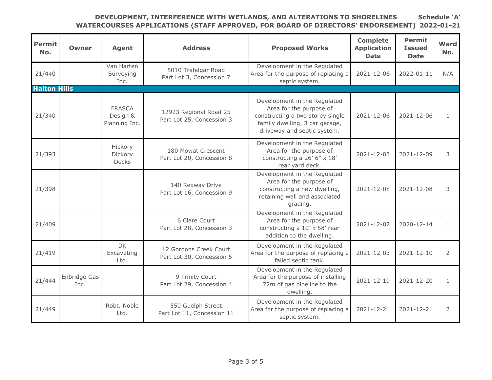| <b>Permit</b><br>No. | <b>Owner</b>         | <b>Agent</b>                               | <b>Address</b>                                      | <b>Proposed Works</b>                                                                                                                                        | <b>Complete</b><br><b>Application</b><br><b>Date</b> | <b>Permit</b><br><b>Issued</b><br><b>Date</b> | Ward<br>No.    |
|----------------------|----------------------|--------------------------------------------|-----------------------------------------------------|--------------------------------------------------------------------------------------------------------------------------------------------------------------|------------------------------------------------------|-----------------------------------------------|----------------|
| 21/440               |                      | Van Harten<br>Surveying<br>Inc.            | 5010 Trafalgar Road<br>Part Lot 3, Concession 7     | Development in the Regulated<br>Area for the purpose of replacing a<br>septic system.                                                                        | 2021-12-06                                           | 2022-01-11                                    | N/A            |
| <b>Halton Hills</b>  |                      |                                            |                                                     |                                                                                                                                                              |                                                      |                                               |                |
| 21/340               |                      | <b>FRASCA</b><br>Design &<br>Planning Inc. | 12923 Regional Road 25<br>Part Lot 25, Concession 3 | Development in the Regulated<br>Area for the purpose of<br>constructing a two storey single<br>family dwelling, 3 car garage,<br>driveway and septic system. | 2021-12-06                                           | $2021 - 12 - 06$                              | 1              |
| 21/393               |                      | Hickory<br>Dickory<br><b>Decks</b>         | 180 Mowat Crescent<br>Part Lot 20, Concession 8     | Development in the Regulated<br>Area for the purpose of<br>constructing a 26' 6" x 18'<br>rear yard deck.                                                    | 2021-12-03                                           | 2021-12-09                                    | 3              |
| 21/398               |                      |                                            | 140 Rexway Drive<br>Part Lot 16, Concession 9       | Development in the Regulated<br>Area for the purpose of<br>constructing a new dwelling,<br>retaining wall and associated<br>grading.                         | 2021-12-08                                           | 2021-12-08                                    | 3              |
| 21/409               |                      |                                            | 6 Clare Court<br>Part Lot 28, Concession 3          | Development in the Regulated<br>Area for the purpose of<br>constructing a 10' x 58' rear<br>addition to the dwelling.                                        | 2021-12-07                                           | 2020-12-14                                    | 1              |
| 21/419               |                      | <b>DK</b><br>Excavating<br>Ltd.            | 12 Gordons Creek Court<br>Part Lot 30, Concession 5 | Development in the Regulated<br>Area for the purpose of replacing a<br>failed septic tank.                                                                   | $2021 - 12 - 03$                                     | $2021 - 12 - 10$                              | 2              |
| 21/444               | Enbridge Gas<br>Inc. |                                            | 9 Trinity Court<br>Part Lot 29, Concession 4        | Development in the Regulated<br>Area for the purpose of installing<br>72m of gas pipeline to the<br>dwelling.                                                | 2021-12-19                                           | 2021-12-20                                    | $\mathbf{1}$   |
| 21/449               |                      | Robt. Noble<br>Ltd.                        | 550 Guelph Street<br>Part Lot 11, Concession 11     | Development in the Regulated<br>Area for the purpose of replacing a<br>septic system.                                                                        | 2021-12-21                                           | 2021-12-21                                    | $\overline{2}$ |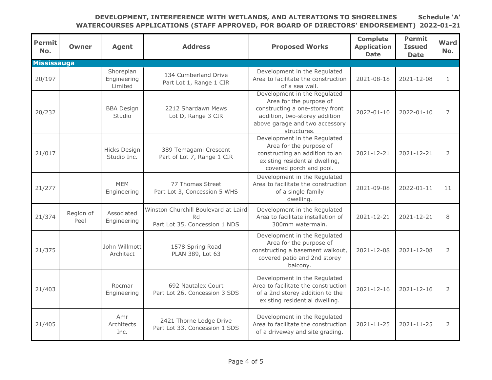| <b>Permit</b><br>No. | <b>Owner</b>      | <b>Agent</b>                        | <b>Address</b>                                                              | <b>Proposed Works</b>                                                                                                                                                        | <b>Complete</b><br><b>Application</b><br><b>Date</b> | <b>Permit</b><br><b>Issued</b><br><b>Date</b> | Ward<br>No.  |
|----------------------|-------------------|-------------------------------------|-----------------------------------------------------------------------------|------------------------------------------------------------------------------------------------------------------------------------------------------------------------------|------------------------------------------------------|-----------------------------------------------|--------------|
| <b>Mississauga</b>   |                   |                                     |                                                                             |                                                                                                                                                                              |                                                      |                                               |              |
| 20/197               |                   | Shoreplan<br>Engineering<br>Limited | 134 Cumberland Drive<br>Part Lot 1, Range 1 CIR                             | Development in the Regulated<br>Area to facilitate the construction<br>of a sea wall.                                                                                        | 2021-08-18                                           | 2021-12-08                                    | $\mathbf{1}$ |
| 20/232               |                   | <b>BBA Design</b><br>Studio         | 2212 Shardawn Mews<br>Lot D, Range 3 CIR                                    | Development in the Regulated<br>Area for the purpose of<br>constructing a one-storey front<br>addition, two-storey addition<br>above garage and two accessory<br>structures. | 2022-01-10                                           | 2022-01-10                                    | 7            |
| 21/017               |                   | Hicks Design<br>Studio Inc.         | 389 Temagami Crescent<br>Part of Lot 7, Range 1 CIR                         | Development in the Regulated<br>Area for the purpose of<br>constructing an addition to an<br>existing residential dwelling,<br>covered porch and pool.                       | 2021-12-21                                           | 2021-12-21                                    | 2            |
| 21/277               |                   | <b>MEM</b><br>Engineering           | 77 Thomas Street<br>Part Lot 3, Concession 5 WHS                            | Development in the Regulated<br>Area to facilitate the construction<br>of a single family<br>dwelling.                                                                       | 2021-09-08                                           | 2022-01-11                                    | 11           |
| 21/374               | Region of<br>Peel | Associated<br>Engineering           | Winston Churchill Boulevard at Laird<br>Rd<br>Part Lot 35, Concession 1 NDS | Development in the Regulated<br>Area to facilitate installation of<br>300mm watermain.                                                                                       | 2021-12-21                                           | 2021-12-21                                    | 8            |
| 21/375               |                   | John Willmott<br>Architect          | 1578 Spring Road<br>PLAN 389, Lot 63                                        | Development in the Regulated<br>Area for the purpose of<br>constructing a basement walkout,<br>covered patio and 2nd storey<br>balcony.                                      | 2021-12-08                                           | 2021-12-08                                    | 2            |
| 21/403               |                   | Rocmar<br>Engineering               | 692 Nautalex Court<br>Part Lot 26, Concession 3 SDS                         | Development in the Regulated<br>Area to facilitate the construction<br>of a 2nd storey addition to the<br>existing residential dwelling.                                     | 2021-12-16                                           | 2021-12-16                                    | 2            |
| 21/405               |                   | Amr<br>Architects<br>Inc.           | 2421 Thorne Lodge Drive<br>Part Lot 33, Concession 1 SDS                    | Development in the Regulated<br>Area to facilitate the construction<br>of a driveway and site grading.                                                                       | 2021-11-25                                           | 2021-11-25                                    | 2            |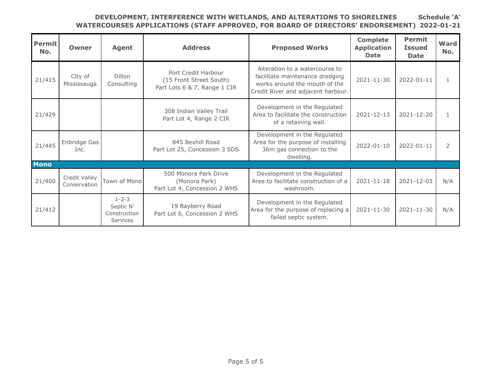| Permit<br>No. | <b>Owner</b>                  | <b>Agent</b>                                                | <b>Address</b>                                                                 | <b>Proposed Works</b>                                                                                                                    | <b>Complete</b><br><b>Application</b><br><b>Date</b> | <b>Permit</b><br><b>Issued</b><br><b>Date</b> | <b>Ward</b><br>No. |
|---------------|-------------------------------|-------------------------------------------------------------|--------------------------------------------------------------------------------|------------------------------------------------------------------------------------------------------------------------------------------|------------------------------------------------------|-----------------------------------------------|--------------------|
| 21/415        | City of<br>Mississauga        | Dillon<br>Consulting                                        | Port Credit Harbour<br>(15 Front Street South)<br>Part Lots 6 & 7, Range 1 CIR | Alteration to a watercourse to<br>facilitate maintenance dredging<br>works around the mouth of the<br>Credit River and adjacent harbour. | 2021-11-30                                           | 2022-01-11                                    | $\mathbf{1}$       |
| 21/429        |                               |                                                             | 308 Indian Valley Trail<br>Part Lot 4, Range 2 CIR                             | Development in the Regulated<br>Area to facilitate the construction<br>of a retaining wall.                                              | $2021 - 12 - 13$                                     | 2021-12-20                                    |                    |
| 21/445        | Enbridge Gas<br>Inc.          |                                                             | 845 Bexhill Road<br>Part Lot 25, Concession 3 SDS                              | Development in the Regulated<br>Area for the purpose of installing<br>36m gas connection to the<br>dwelling.                             | 2022-01-10                                           | 2022-01-11                                    | 2                  |
| <b>Mono</b>   |                               |                                                             |                                                                                |                                                                                                                                          |                                                      |                                               |                    |
| 21/400        | Credit Valley<br>Conservation | Town of Mono                                                | 500 Monora Park Drive<br>(Monora Park)<br>Part Lot 4, Concession 2 WHS         | Development in the Regulated<br>Area to facilitate construction of a<br>washroom.                                                        | $2021 - 11 - 18$                                     | 2021-12-03                                    | N/A                |
| 21/412        |                               | $1 - 2 - 3$<br>Septic N'<br>Construction<br><b>Services</b> | 19 Bayberry Road<br>Part Lot 6, Concession 2 WHS                               | Development in the Regulated<br>Area for the purpose of replacing a<br>failed septic system.                                             | $2021 - 11 - 30$                                     | $2021 - 11 - 30$                              | N/A                |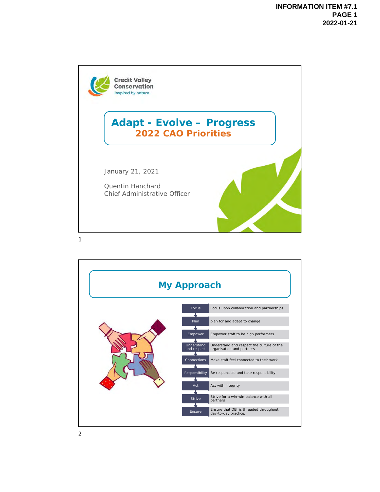

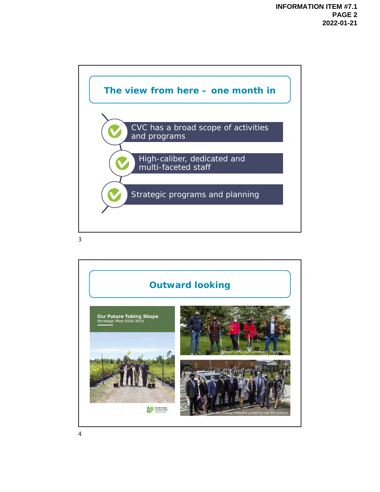

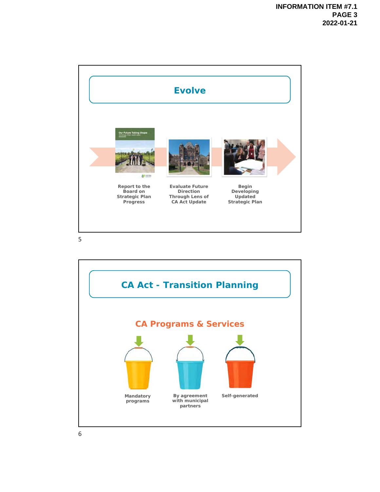

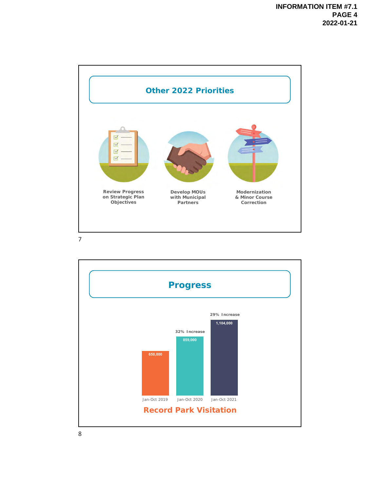

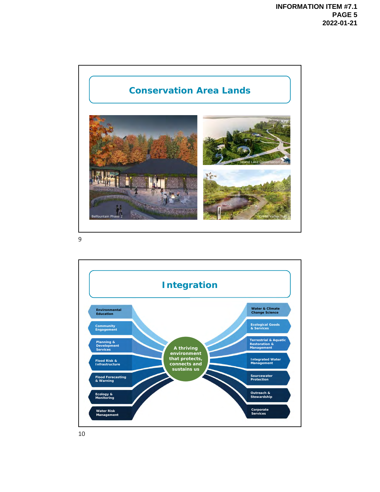

9